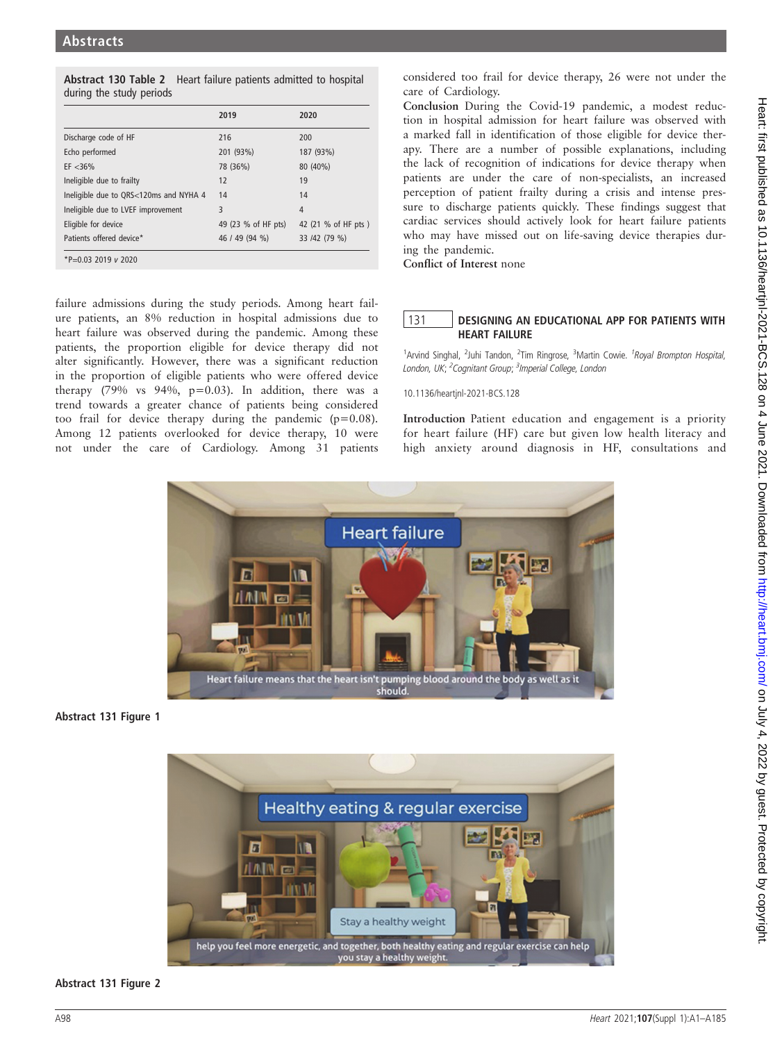| Abstract 130 Table 2 Heart failure patients admitted to hospital |  |
|------------------------------------------------------------------|--|
| during the study periods                                         |  |

|                                        | 2019                | 2020                |
|----------------------------------------|---------------------|---------------------|
| Discharge code of HF                   | 216                 | 200                 |
| Echo performed                         | 201 (93%)           | 187 (93%)           |
| $EF < 36\%$                            | 78 (36%)            | 80 (40%)            |
| Ineligible due to frailty              | 12                  | 19                  |
| Ineligible due to QRS<120ms and NYHA 4 | 14                  | 14                  |
| Ineligible due to LVEF improvement     | 3                   | 4                   |
| Eligible for device                    | 49 (23 % of HF pts) | 42 (21 % of HF pts) |
| Patients offered device*               | 46 / 49 (94 %)      | 33 /42 (79 %)       |
| *P=0.03 2019 $v$ 2020                  |                     |                     |

failure admissions during the study periods. Among heart failure patients, an 8% reduction in hospital admissions due to heart failure was observed during the pandemic. Among these patients, the proportion eligible for device therapy did not alter significantly. However, there was a significant reduction in the proportion of eligible patients who were offered device therapy (79% vs 94%,  $p=0.03$ ). In addition, there was a trend towards a greater chance of patients being considered too frail for device therapy during the pandemic (p=0.08). Among 12 patients overlooked for device therapy, 10 were not under the care of Cardiology. Among 31 patients

considered too frail for device therapy, 26 were not under the care of Cardiology.

Conclusion During the Covid-19 pandemic, a modest reduction in hospital admission for heart failure was observed with a marked fall in identification of those eligible for device therapy. There are a number of possible explanations, including the lack of recognition of indications for device therapy when patients are under the care of non-specialists, an increased perception of patient frailty during a crisis and intense pressure to discharge patients quickly. These findings suggest that cardiac services should actively look for heart failure patients who may have missed out on life-saving device therapies during the pandemic.

Conflict of Interest none

## 131 **DESIGNING AN EDUCATIONAL APP FOR PATIENTS WITH** HEART FAILURE

<sup>1</sup> Arvind Singhal, <sup>2</sup> Juhi Tandon, <sup>2</sup> Tim Ringrose, <sup>3</sup> Martin Cowie. <sup>1</sup> Royal Brompton Hospital, London, UK; <sup>2</sup>Cognitant Group; <sup>3</sup>Imperial College, London

10.1136/heartjnl-2021-BCS.128

Introduction Patient education and engagement is a priority for heart failure (HF) care but given low health literacy and high anxiety around diagnosis in HF, consultations and



Abstract 131 Figure 1



## Abstract 131 Figure 2